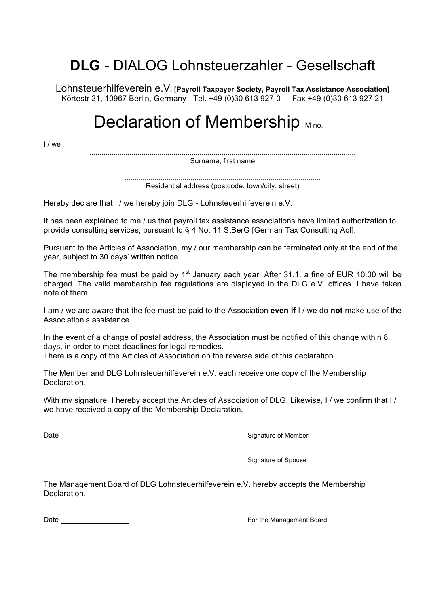## **DLG** - DIALOG Lohnsteuerzahler - Gesellschaft

Lohnsteuerhilfeverein e.V**. [Payroll Taxpayer Society, Payroll Tax Assistance Association]** Körtestr 21, 10967 Berlin, Germany - Tel. +49 (0)30 613 927-0 - Fax +49 (0)30 613 927 21

# Declaration of Membership M no.

I / we

..................................................................................................................................... Surname, first name

> .................................................................................................. Residential address (postcode, town/city, street)

Hereby declare that I / we hereby join DLG - Lohnsteuerhilfeverein e.V.

It has been explained to me / us that payroll tax assistance associations have limited authorization to provide consulting services, pursuant to § 4 No. 11 StBerG [German Tax Consulting Act].

Pursuant to the Articles of Association, my / our membership can be terminated only at the end of the year, subject to 30 days' written notice.

The membership fee must be paid by  $1<sup>st</sup>$  January each year. After 31.1. a fine of EUR 10.00 will be charged. The valid membership fee regulations are displayed in the DLG e.V. offices. I have taken note of them.

I am / we are aware that the fee must be paid to the Association **even if** I / we do **not** make use of the Association's assistance.

In the event of a change of postal address, the Association must be notified of this change within 8 days, in order to meet deadlines for legal remedies. There is a copy of the Articles of Association on the reverse side of this declaration.

The Member and DLG Lohnsteuerhilfeverein e.V. each receive one copy of the Membership Declaration.

With my signature, I hereby accept the Articles of Association of DLG. Likewise, I / we confirm that I / we have received a copy of the Membership Declaration.

Date **Signature of Member** Signature of Member

Signature of Spouse

The Management Board of DLG Lohnsteuerhilfeverein e.V. hereby accepts the Membership **Declaration** 

Date **Date Example 2 Date Example 2 CONDITE 2 For the Management Board**